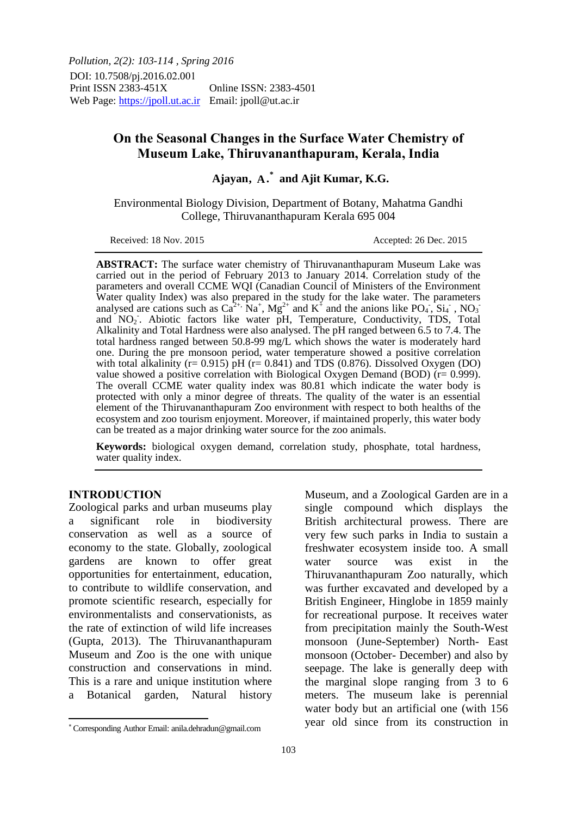*Pollution, 2(2): 103-114 , Spring 2016* DOI: 10.7508/pj.2016.02.001 Print ISSN 2383-451X Online ISSN: 2383-4501 Web Page: https://jpoll.ut.ac.ir Email: jpoll@ut.ac.ir

# **On the Seasonal Changes in the Surface Water Chemistry of Museum Lake, Thiruvananthapuram, Kerala, India**

# Ajayan, A.<sup>\*</sup> and Ajit Kumar, K.G.

Environmental Biology Division, Department of Botany, Mahatma Gandhi College, Thiruvananthapuram Kerala 695 004

Received: 18 Nov. 2015 **Accepted: 26 Dec. 2015** 

**ABSTRACT:** The surface water chemistry of Thiruvananthapuram Museum Lake was carried out in the period of February 2013 to January 2014. Correlation study of the parameters and overall CCME WQI (Canadian Council of Ministers of the Environment Water quality Index) was also prepared in the study for the lake water. The parameters analysed are cations such as  $Ca^{2+}$ ,  $Na^+$ ,  $Mg^{2+}$  and  $K^{\ddagger}$  and the anions like  $PO_4$ ,  $St_4$ ,  $NO_3$ and NO<sub>2</sub>. Abiotic factors like water pH, Temperature, Conductivity, TDS, Total Alkalinity and Total Hardness were also analysed. The pH ranged between 6.5 to 7.4. The total hardness ranged between 50.8-99 mg/L which shows the water is moderately hard one. During the pre monsoon period, water temperature showed a positive correlation with total alkalinity ( $r = 0.915$ )  $pH$  ( $r = 0.841$ ) and TDS (0.876). Dissolved Oxygen (DO) value showed a positive correlation with Biological Oxygen Demand (BOD)  $(r= 0.999)$ . The overall CCME water quality index was 80.81 which indicate the water body is protected with only a minor degree of threats. The quality of the water is an essential element of the Thiruvananthapuram Zoo environment with respect to both healths of the ecosystem and zoo tourism enjoyment. Moreover, if maintained properly, this water body can be treated as a major drinking water source for the zoo animals.

**Keywords:** biological oxygen demand, correlation study, phosphate, total hardness, water quality index.

#### **INTRODUCTION**

 $\overline{\phantom{a}}$ 

Zoological parks and urban museums play a significant role in biodiversity conservation as well as a source of economy to the state. Globally, zoological gardens are known to offer great opportunities for entertainment, education, to contribute to wildlife conservation, and promote scientific research, especially for environmentalists and conservationists, as the rate of extinction of wild life increases (Gupta, 2013). The Thiruvananthapuram Museum and Zoo is the one with unique construction and conservations in mind. This is a rare and unique institution where a Botanical garden, Natural history

Museum, and a Zoological Garden are in a single compound which displays the British architectural prowess. There are very few such parks in India to sustain a freshwater ecosystem inside too. A small water source was exist in the Thiruvananthapuram Zoo naturally, which was further excavated and developed by a British Engineer, Hinglobe in 1859 mainly for recreational purpose. It receives water from precipitation mainly the South-West monsoon (June-September) North- East monsoon (October- December) and also by seepage. The lake is generally deep with the marginal slope ranging from 3 to 6 meters. The museum lake is perennial water body but an artificial one (with 156 year old since from its construction in

 Corresponding Author Email: anila.dehradun@gmail.com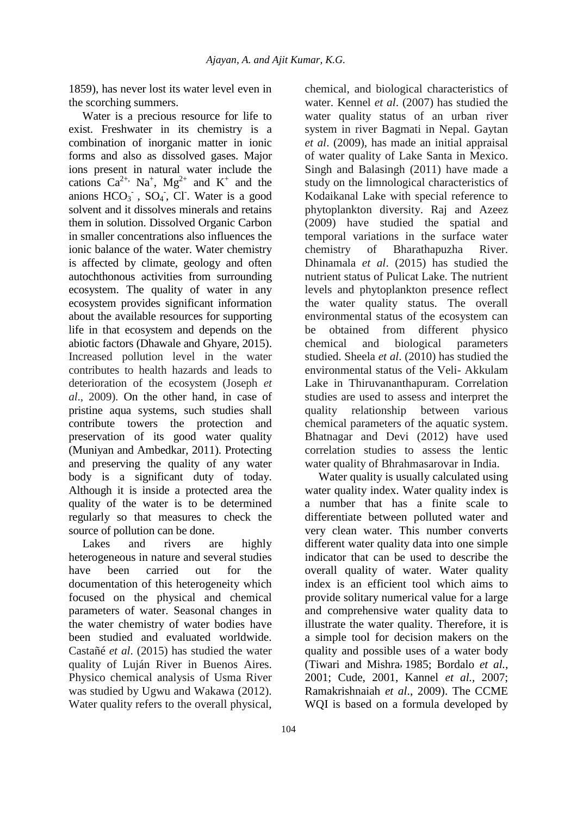1859), has never lost its water level even in the scorching summers.

Water is a precious resource for life to exist. Freshwater in its chemistry is a combination of inorganic matter in ionic forms and also as dissolved gases. Major ions present in natural water include the cations  $Ca^{2+}$ , Na<sup>+</sup>, Mg<sup>2+</sup> and K<sup>+</sup> and the anions  $HCO_3^-$ ,  $SO_4$ , Cl. Water is a good solvent and it dissolves minerals and retains them in solution. Dissolved Organic Carbon in smaller concentrations also influences the ionic balance of the water. Water chemistry is affected by climate, geology and often autochthonous activities from surrounding ecosystem. The quality of water in any ecosystem provides significant information about the available resources for supporting life in that ecosystem and depends on the abiotic factors (Dhawale and Ghyare, 2015). Increased pollution level in the water contributes to health hazards and leads to deterioration of the ecosystem (Joseph *et al*., 2009). On the other hand, in case of pristine aqua systems, such studies shall contribute towers the protection and preservation of its good water quality (Muniyan and Ambedkar, 2011). Protecting and preserving the quality of any water body is a significant duty of today. Although it is inside a protected area the quality of the water is to be determined regularly so that measures to check the source of pollution can be done.

Lakes and rivers are highly heterogeneous in nature and several studies have been carried out for the documentation of this heterogeneity which focused on the physical and chemical parameters of water. Seasonal changes in the water chemistry of water bodies have been studied and evaluated worldwide. Castañé *et al*. (2015) has studied the water quality of Luján River in Buenos Aires. Physico chemical analysis of Usma River was studied by Ugwu and Wakawa (2012). Water quality refers to the overall physical, chemical, and biological characteristics of water. Kennel *et al*. (2007) has studied the water quality status of an urban river system in river Bagmati in Nepal. Gaytan *et al*. (2009), has made an initial appraisal of water quality of Lake Santa in Mexico. Singh and Balasingh (2011) have made a study on the limnological characteristics of Kodaikanal Lake with special reference to phytoplankton diversity. Raj and Azeez (2009) have studied the spatial and temporal variations in the surface water chemistry of Bharathapuzha River. Dhinamala *et al*. (2015) has studied the nutrient status of Pulicat Lake. The nutrient levels and phytoplankton presence reflect the water quality status. The overall environmental status of the ecosystem can be obtained from different physico chemical and biological parameters studied. Sheela *et al*. (2010) has studied the environmental status of the Veli- Akkulam Lake in Thiruvananthapuram. Correlation studies are used to assess and interpret the quality relationship between various chemical parameters of the aquatic system. Bhatnagar and Devi (2012) have used correlation studies to assess the lentic water quality of Bhrahmasarovar in India.

Water quality is usually calculated using water quality index. Water quality index is a number that has a finite scale to differentiate between polluted water and very clean water. This number converts different water quality data into one simple indicator that can be used to describe the overall quality of water. Water quality index is an efficient tool which aims to provide solitary numerical value for a large and comprehensive water quality data to illustrate the water quality. Therefore, it is a simple tool for decision makers on the quality and possible uses of a water body (Tiwari and Mishra, 1985; Bordalo et al., 2001; Cude, 2001, Kannel *et al.,* 2007; Ramakrishnaiah *et al*., 2009). The CCME WQI is based on a formula developed by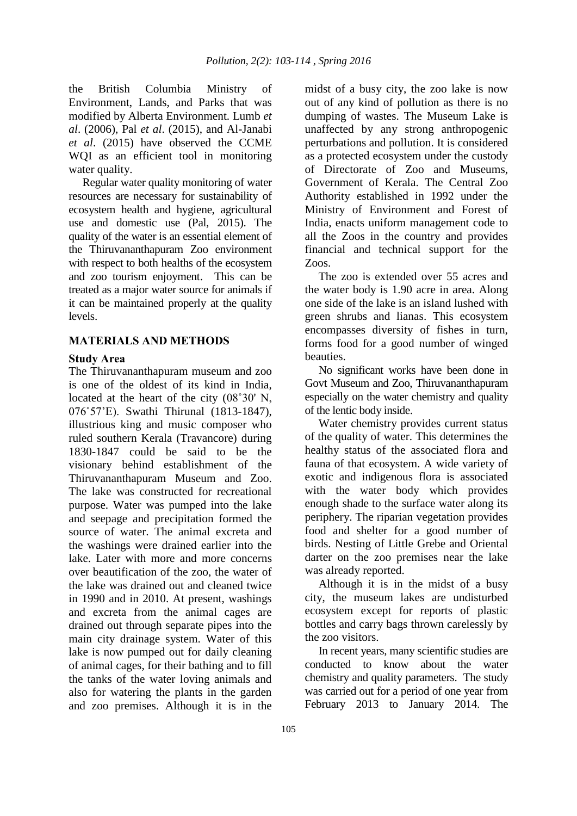the British Columbia Ministry of Environment, Lands, and Parks that was modified by Alberta Environment. Lumb *et al*. (2006), Pal *et al*. (2015), and Al-Janabi *et al*. (2015) have observed the CCME WQI as an efficient tool in monitoring water quality.

Regular water quality monitoring of water resources are necessary for sustainability of ecosystem health and hygiene, agricultural use and domestic use (Pal, 2015). The quality of the water is an essential element of the Thiruvananthapuram Zoo environment with respect to both healths of the ecosystem and zoo tourism enjoyment. This can be treated as a major water source for animals if it can be maintained properly at the quality levels.

### **MATERIALS AND METHODS**

#### **Study Area**

The Thiruvananthapuram museum and zoo is one of the oldest of its kind in India, located at the heart of the city (08˚30' N, 076˚57'E). Swathi Thirunal (1813-1847), illustrious king and music composer who ruled southern Kerala (Travancore) during 1830-1847 could be said to be the visionary behind establishment of the Thiruvananthapuram Museum and Zoo. The lake was constructed for recreational purpose. Water was pumped into the lake and seepage and precipitation formed the source of water. The animal excreta and the washings were drained earlier into the lake. Later with more and more concerns over beautification of the zoo, the water of the lake was drained out and cleaned twice in 1990 and in 2010. At present, washings and excreta from the animal cages are drained out through separate pipes into the main city drainage system. Water of this lake is now pumped out for daily cleaning of animal cages, for their bathing and to fill the tanks of the water loving animals and also for watering the plants in the garden and zoo premises. Although it is in the midst of a busy city, the zoo lake is now out of any kind of pollution as there is no dumping of wastes. The Museum Lake is unaffected by any strong anthropogenic perturbations and pollution. It is considered as a protected ecosystem under the custody of Directorate of Zoo and Museums, Government of Kerala. The Central Zoo Authority established in 1992 under the Ministry of Environment and Forest of India, enacts uniform management code to all the Zoos in the country and provides financial and technical support for the Zoos.

The zoo is extended over 55 acres and the water body is 1.90 acre in area. Along one side of the lake is an island lushed with green shrubs and lianas. This ecosystem encompasses diversity of fishes in turn, forms food for a good number of winged beauties.

No significant works have been done in Govt Museum and Zoo, Thiruvananthapuram especially on the water chemistry and quality of the lentic body inside.

Water chemistry provides current status of the quality of water. This determines the healthy status of the associated flora and fauna of that ecosystem. A wide variety of exotic and indigenous flora is associated with the water body which provides enough shade to the surface water along its periphery. The riparian vegetation provides food and shelter for a good number of birds. Nesting of Little Grebe and Oriental darter on the zoo premises near the lake was already reported.

Although it is in the midst of a busy city, the museum lakes are undisturbed ecosystem except for reports of plastic bottles and carry bags thrown carelessly by the zoo visitors.

In recent years, many scientific studies are conducted to know about the water chemistry and quality parameters. The study was carried out for a period of one year from February 2013 to January 2014. The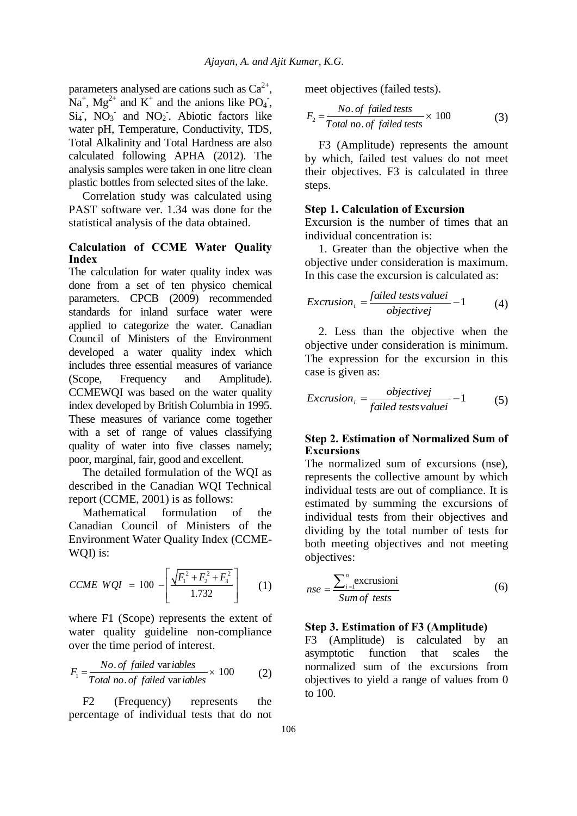parameters analysed are cations such as  $Ca^{2+}$ ,  $Na^+$ ,  $Mg^{2+}$  and  $K^+$  and the anions like PO<sub>4</sub>,  $Si<sub>4</sub>$ ,  $NO<sub>3</sub>$  and  $NO<sub>2</sub>$ . Abiotic factors like water pH, Temperature, Conductivity, TDS, Total Alkalinity and Total Hardness are also calculated following APHA (2012). The analysis samples were taken in one litre clean plastic bottles from selected sites of the lake.

Correlation study was calculated using PAST software ver. 1.34 was done for the statistical analysis of the data obtained.

## **Calculation of CCME Water Quality Index**

The calculation for water quality index was done from a set of ten physico chemical parameters. CPCB (2009) recommended standards for inland surface water were applied to categorize the water. Canadian Council of Ministers of the Environment developed a water quality index which includes three essential measures of variance (Scope, Frequency and Amplitude). CCMEWQI was based on the water quality index developed by British Columbia in 1995. These measures of variance come together with a set of range of values classifying quality of water into five classes namely; poor, marginal, fair, good and excellent.

The detailed formulation of the WQI as described in the Canadian WQI Technical report (CCME, 2001) is as follows:

Mathematical formulation of the Canadian Council of Ministers of the Environment Water Quality Index (CCME-WQI) is:

$$
CCME WQI = 100 - \left[ \frac{\sqrt{F_1^2 + F_2^2 + F_3^2}}{1.732} \right]
$$
 (1)

where F1 (Scope) represents the extent of water quality guideline non-compliance

over the time period of interest.  
\n
$$
F_1 = \frac{No. \text{ of failed variables}}{Total \text{ no. of failed variables}} \times 100 \qquad (2)
$$

F2 (Frequency) represents the percentage of individual tests that do not meet objectives (failed tests).

$$
F_2 = \frac{No. \text{ of failed tests}}{Total \text{ no. of failed tests}} \times 100 \tag{3}
$$

F3 (Amplitude) represents the amount by which, failed test values do not meet their objectives. F3 is calculated in three steps.

### **Step 1. Calculation of Excursion**

Excursion is the number of times that an individual concentration is:

1. Greater than the objective when the objective under consideration is maximum. In this case the excursion is calculated as:

Exclusion<sub>i</sub> = 
$$
\frac{failed \ test \ valuei}{objectivej} - 1
$$
 (4)

2. Less than the objective when the objective under consideration is minimum. The expression for the excursion in this case is given as:

$$
Exclusion_i = \frac{objectivej}{failed\ tests\ valuei} - 1
$$
 (5)

## **Step 2. Estimation of Normalized Sum of Excursions**

The normalized sum of excursions (nse), represents the collective amount by which individual tests are out of compliance. It is estimated by summing the excursions of individual tests from their objectives and dividing by the total number of tests for both meeting objectives and not meeting objectives:

$$
nse = \frac{\sum_{i=1}^{n} \text{excrusioni}}{\text{Sum of tests}}
$$
(6)

#### **Step 3. Estimation of F3 (Amplitude)**

F3 (Amplitude) is calculated by an asymptotic function that scales the normalized sum of the excursions from objectives to yield a range of values from 0 to 100.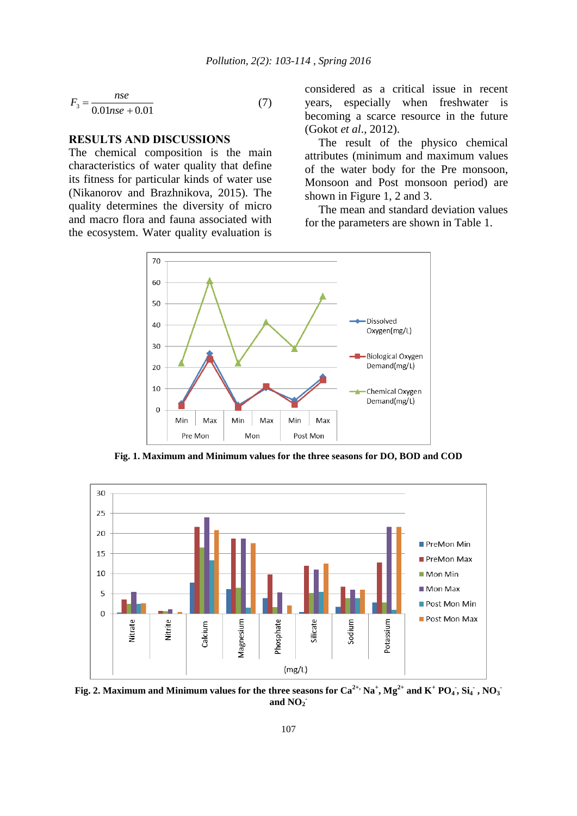$$
F_3 = \frac{nse}{0.01nse + 0.01}
$$
 (7)

#### **RESULTS AND DISCUSSIONS**

The chemical composition is the main characteristics of water quality that define its fitness for particular kinds of water use (Nikanorov and Brazhnikova, 2015). The quality determines the diversity of micro and macro flora and fauna associated with the ecosystem. Water quality evaluation is considered as a critical issue in recent years, especially when freshwater is becoming a scarce resource in the future (Gokot *et al*., 2012).

The result of the physico chemical attributes (minimum and maximum values of the water body for the Pre monsoon, Monsoon and Post monsoon period) are shown in Figure 1, 2 and 3.

The mean and standard deviation values for the parameters are shown in Table 1.



**Fig. 1. Maximum and Minimum values for the three seasons for DO, BOD and COD**



Fig. 2. Maximum and Minimum values for the three seasons for Ca<sup>2+,</sup> Na<sup>+</sup>, Mg<sup>2+</sup> and K<sup>+</sup> PO<sub>4</sub>, Si<sub>4</sub>, NO<sub>3</sub> **and NO<sup>2</sup> -**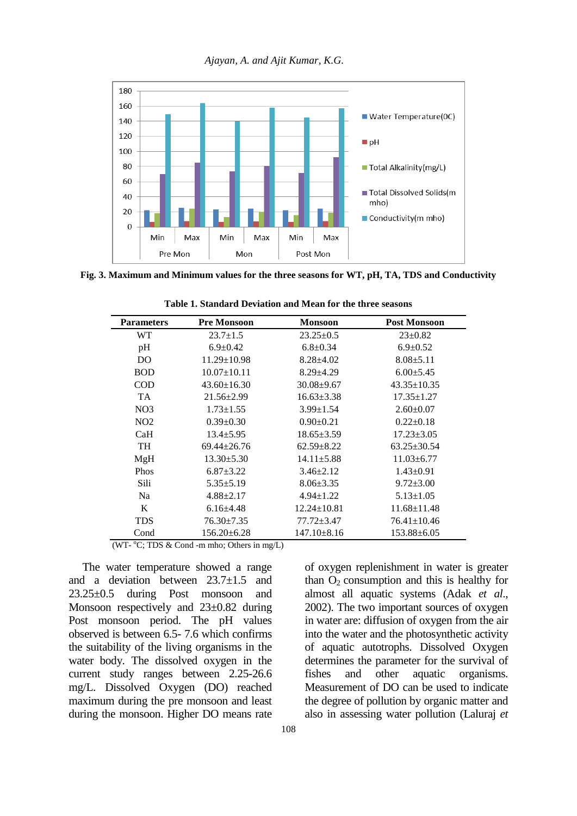



**Fig. 3. Maximum and Minimum values for the three seasons for WT, pH, TA, TDS and Conductivity** 

| <b>Parameters</b> | <b>Pre Monsoon</b> | <b>Monsoon</b>    | <b>Post Monsoon</b> |
|-------------------|--------------------|-------------------|---------------------|
| WT                | $23.7 \pm 1.5$     | $23.25 \pm 0.5$   | $23 \pm 0.82$       |
| pH                | $6.9 \pm 0.42$     | $6.8 \pm 0.34$    | $6.9 \pm 0.52$      |
| DO                | $11.29 \pm 10.98$  | $8.28 \pm 4.02$   | $8.08 \pm 5.11$     |
| <b>BOD</b>        | $10.07 \pm 10.11$  | $8.29 \pm 4.29$   | $6.00 + 5.45$       |
| COD               | $43.60 \pm 16.30$  | $30.08 + 9.67$    | $43.35 \pm 10.35$   |
| <b>TA</b>         | $21.56 \pm 2.99$   | $16.63 \pm 3.38$  | $17.35 \pm 1.27$    |
| NO <sub>3</sub>   | $1.73 \pm 1.55$    | $3.99 \pm 1.54$   | $2.60+0.07$         |
| NO <sub>2</sub>   | $0.39 \pm 0.30$    | $0.90+0.21$       | $0.22 \pm 0.18$     |
| CaH               | $13.4 + 5.95$      | $18.65 \pm 3.59$  | $17.23 \pm 3.05$    |
| <b>TH</b>         | $69.44 + 26.76$    | $62.59 + 8.22$    | $63.25 \pm 30.54$   |
| MgH               | $13.30 + 5.30$     | $14.11 + 5.88$    | $11.03 + 6.77$      |
| <b>Phos</b>       | $6.87 \pm 3.22$    | $3.46 \pm 2.12$   | $1.43 \pm 0.91$     |
| Sili              | $5.35 \pm 5.19$    | $8.06 \pm 3.35$   | $9.72 \pm 3.00$     |
| N <sub>a</sub>    | $4.88 \pm 2.17$    | $4.94 \pm 1.22$   | $5.13 \pm 1.05$     |
| K                 | $6.16 + 4.48$      | $12.24 \pm 10.81$ | $11.68 \pm 11.48$   |
| <b>TDS</b>        | $76.30 \pm 7.35$   | $77.72 + 3.47$    | $76.41 \pm 10.46$   |
| Cond              | $156.20 \pm 6.28$  | $147.10 \pm 8.16$ | $153.88 \pm 6.05$   |

**Table 1. Standard Deviation and Mean for the three seasons** 

(WT- $\mathrm{^{\circ}C}$ ; TDS & Cond -m mho; Others in mg/L)

The water temperature showed a range and a deviation between 23.7±1.5 and 23.25±0.5 during Post monsoon and Monsoon respectively and 23±0.82 during Post monsoon period. The pH values observed is between 6.5- 7.6 which confirms the suitability of the living organisms in the water body. The dissolved oxygen in the current study ranges between 2.25-26.6 mg/L. Dissolved Oxygen (DO) reached maximum during the pre monsoon and least during the monsoon. Higher DO means rate of oxygen replenishment in water is greater than  $O<sub>2</sub>$  consumption and this is healthy for almost all aquatic systems (Adak *et al*., 2002). The two important sources of oxygen in water are: diffusion of oxygen from the air into the water and the photosynthetic activity of aquatic autotrophs. Dissolved Oxygen determines the parameter for the survival of fishes and other aquatic organisms. Measurement of DO can be used to indicate the degree of pollution by organic matter and also in assessing water pollution (Laluraj *et*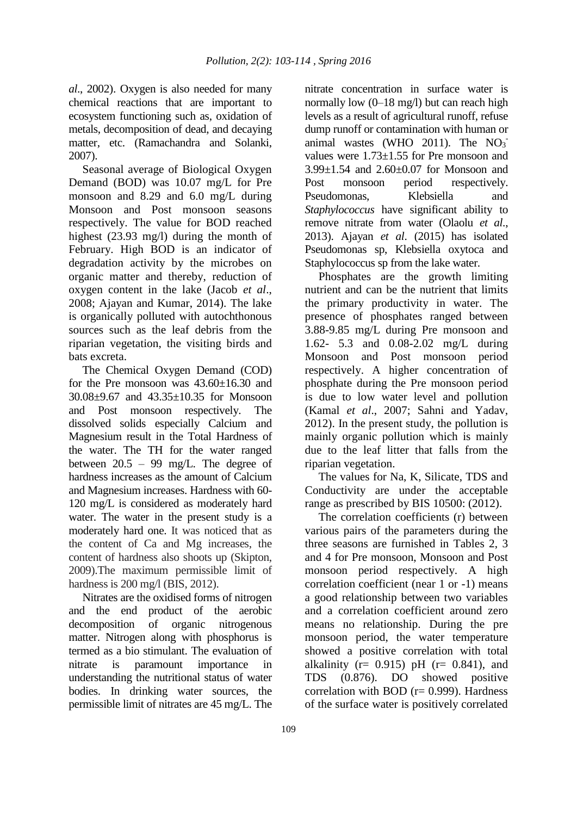*al*., 2002). Oxygen is also needed for many chemical reactions that are important to ecosystem functioning such as, oxidation of metals, decomposition of dead, and decaying matter, etc. (Ramachandra and Solanki, 2007).

Seasonal average of Biological Oxygen Demand (BOD) was 10.07 mg/L for Pre monsoon and 8.29 and 6.0 mg/L during Monsoon and Post monsoon seasons respectively. The value for BOD reached highest (23.93 mg/l) during the month of February. High BOD is an indicator of degradation activity by the microbes on organic matter and thereby, reduction of oxygen content in the lake (Jacob *et al*., 2008; Ajayan and Kumar, 2014). The lake is organically polluted with autochthonous sources such as the leaf debris from the riparian vegetation, the visiting birds and bats excreta.

The Chemical Oxygen Demand (COD) for the Pre monsoon was  $43.60 \pm 16.30$  and 30.08±9.67 and 43.35±10.35 for Monsoon and Post monsoon respectively. The dissolved solids especially Calcium and Magnesium result in the Total Hardness of the water. The TH for the water ranged between  $20.5 - 99$  mg/L. The degree of hardness increases as the amount of Calcium and Magnesium increases. Hardness with 60- 120 mg/L is considered as moderately hard water. The water in the present study is a moderately hard one. It was noticed that as the content of Ca and Mg increases, the content of hardness also shoots up (Skipton, 2009).The maximum permissible limit of hardness is 200 mg/l (BIS, 2012).

Nitrates are the oxidised forms of nitrogen and the end product of the aerobic decomposition of organic nitrogenous matter. Nitrogen along with phosphorus is termed as a bio stimulant. The evaluation of nitrate is paramount importance in understanding the nutritional status of water bodies. In drinking water sources, the permissible limit of nitrates are 45 mg/L. The

nitrate concentration in surface water is normally low (0–18 mg/l) but can reach high levels as a result of agricultural runoff, refuse dump runoff or contamination with human or animal wastes (WHO 2011). The  $NO<sub>3</sub>$ values were 1.73±1.55 for Pre monsoon and 3.99±1.54 and 2.60±0.07 for Monsoon and Post monsoon period respectively. Pseudomonas, Klebsiella and *Staphylococcus* have significant ability to remove nitrate from water (Olaolu *et al*., 2013). Ajayan *et al*. (2015) has isolated Pseudomonas sp, Klebsiella oxytoca and Staphylococcus sp from the lake water.

Phosphates are the growth limiting nutrient and can be the nutrient that limits the primary productivity in water. The presence of phosphates ranged between 3.88-9.85 mg/L during Pre monsoon and 1.62- 5.3 and 0.08-2.02 mg/L during Monsoon and Post monsoon period respectively. A higher concentration of phosphate during the Pre monsoon period is due to low water level and pollution (Kamal *et al*., 2007; Sahni and Yadav, 2012). In the present study, the pollution is mainly organic pollution which is mainly due to the leaf litter that falls from the riparian vegetation.

The values for Na, K, Silicate, TDS and Conductivity are under the acceptable range as prescribed by BIS 10500: (2012).

The correlation coefficients (r) between various pairs of the parameters during the three seasons are furnished in Tables 2, 3 and 4 for Pre monsoon, Monsoon and Post monsoon period respectively. A high correlation coefficient (near 1 or -1) means a good relationship between two variables and a correlation coefficient around zero means no relationship. During the pre monsoon period, the water temperature showed a positive correlation with total alkalinity ( $r= 0.915$ ) pH ( $r= 0.841$ ), and TDS (0.876). DO showed positive correlation with BOD  $(r= 0.999)$ . Hardness of the surface water is positively correlated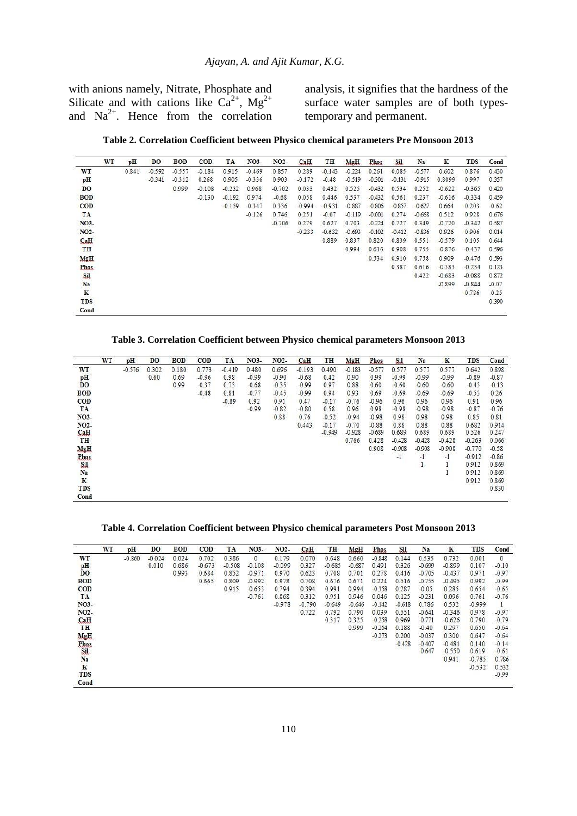with anions namely, Nitrate, Phosphate and Silicate and with cations like  $Ca^{2+}$ , Mg<sup>2+</sup> and  $Na^{2+}$ . Hence from the correlation analysis, it signifies that the hardness of the surface water samples are of both typestemporary and permanent.

**Table 2. Correlation Coefficient between Physico chemical parameters Pre Monsoon 2013** 

|                   | WT | pH    | <b>DO</b> | <b>BOD</b> | <b>COD</b> | TA       | NO3-     | NO <sub>2</sub> - | CaH      | TH       | MgH      | <b>Phos</b> | <b>Sil</b> | Na       | ${\bf K}$ | <b>TDS</b> | Cond    |
|-------------------|----|-------|-----------|------------|------------|----------|----------|-------------------|----------|----------|----------|-------------|------------|----------|-----------|------------|---------|
| WT                |    | 0.841 | $-0.592$  | $-0.557$   | $-0.184$   | 0.915    | $-0.469$ | 0.857             | 0.289    | $-0.143$ | $-0.224$ | 0.261       | 0.085      | $-0.577$ | 0.602     | 0.876      | 0.430   |
| pH                |    |       | $-0.341$  | $-0.312$   | 0.268      | 0.905    | $-0.336$ | 0.903             | $-0.172$ | $-0.48$  | $-0.519$ | $-0.301$    | $-0.131$   | $-0.915$ | 0.8099    | 0.997      | 0.357   |
| DO                |    |       |           | 0.999      | $-0.108$   | $-0.232$ | 0.968    | $-0.702$          | 0.033    | 0.432    | 0.525    | $-0.432$    | 0.534      | 0.252    | $-0.622$  | $-0.365$   | 0.420   |
| <b>BOD</b>        |    |       |           |            | $-0.130$   | $-0.192$ | 0.974    | $-0.68$           | 0.058    | 0.446    | 0.537    | $-0.432$    | 0.561      | 0.237    | $-0.616$  | $-0.334$   | 0.459   |
| <b>COD</b>        |    |       |           |            |            | $-0.159$ | $-0.347$ | 0.336             | $-0.994$ | $-0.931$ | $-0.887$ | $-0.806$    | $-0.857$   | $-0.627$ | 0.664     | 0.203      | $-0.62$ |
| TA                |    |       |           |            |            |          | $-0.126$ | 0.746             | 0.251    | $-0.07$  | $-0.119$ | $-0.001$    | 0.274      | $-0.668$ | 0.512     | 0.928      | 0.676   |
| NO <sub>3</sub> - |    |       |           |            |            |          |          | $-0.706$          | 0.279    | 0.627    | 0.703    | $-0.224$    | 0.727      | 0.349    | $-0.720$  | $-0.342$   | 0.587   |
| NO <sub>2</sub> - |    |       |           |            |            |          |          |                   | $-0.233$ | $-0.632$ | $-0.693$ | $-0.102$    | $-0.412$   | $-0.836$ | 0.926     | 0.906      | 0.014   |
| CaH               |    |       |           |            |            |          |          |                   |          | 0.889    | 0.837    | 0.820       | 0.839      | 0.551    | $-0.579$  | 0.105      | 0.644   |
| TH                |    |       |           |            |            |          |          |                   |          |          | 0.994    | 0.616       | 0.908      | 0.755    | $-0.876$  | $-0.437$   | 0.596   |
| MgH               |    |       |           |            |            |          |          |                   |          |          |          | 0.534       | 0.910      | 0.758    | 0.909     | $-0.476$   | 0.593   |
| Phos              |    |       |           |            |            |          |          |                   |          |          |          |             | 0.387      | 0.616    | $-0.383$  | $-0.234$   | 0.123   |
| Sil               |    |       |           |            |            |          |          |                   |          |          |          |             |            | 0.422    | $-0.683$  | $-0.088$   | 0.872   |
| Na                |    |       |           |            |            |          |          |                   |          |          |          |             |            |          | $-0.899$  | $-0.844$   | $-0.07$ |
| $\bf K$           |    |       |           |            |            |          |          |                   |          |          |          |             |            |          |           | 0.786      | $-0.25$ |
| <b>TDS</b>        |    |       |           |            |            |          |          |                   |          |          |          |             |            |          |           |            | 0.390   |
| Cond              |    |       |           |            |            |          |          |                   |          |          |          |             |            |          |           |            |         |

**Table 3. Correlation Coefficient between Physico chemical parameters Monsoon 2013** 

|                   | WT | pH       | DO.   | <b>BOD</b> | <b>COD</b> | TA       | NO3-    | NO <sub>2</sub> - | CaH      | TH       | MgH      | Phos     | Sil      | Na           | $\mathbf K$ | <b>TDS</b> | Cond    |
|-------------------|----|----------|-------|------------|------------|----------|---------|-------------------|----------|----------|----------|----------|----------|--------------|-------------|------------|---------|
| WT                |    | $-0.576$ | 0.302 | 0.180      | 0.773      | $-0.419$ | 0.480   | 0.696             | $-0.193$ | 0.490    | $-0.183$ | $-0.577$ | 0.577    | 0.577        | 0.577       | 0.642      | 0.898   |
| pH                |    |          | 0.60  | 0.69       | $-0.96$    | 0.98     | $-0.99$ | $-0.90$           | $-0.68$  | 0.42     | 0.90     | 0.99     | $-0.99$  | $-0.99$      | $-0.99$     | $-0.89$    | $-0.87$ |
| DO                |    |          |       | 0.99       | $-0.37$    | 0.73     | $-0.68$ | $-0.35$           | $-0.99$  | 0.97     | 0.88     | 0.60     | $-0.60$  | $-0.60$      | $-0.60$     | $-0.43$    | $-0.13$ |
| <b>BOD</b>        |    |          |       |            | $-0.48$    | 0.81     | $-0.77$ | $-0.45$           | $-0.99$  | 0.94     | 0.93     | 0.69     | $-0.69$  | $-0.69$      | $-0.69$     | $-0.53$    | 0.26    |
| <b>COD</b>        |    |          |       |            |            | $-0.89$  | 0.92    | 0.91              | 0.47     | $-0.17$  | $-0.76$  | $-0.96$  | 0.96     | 0.96         | 0.96        | 0.91       | 0.96    |
| TA                |    |          |       |            |            |          | $-0.99$ | $-0.82$           | $-0.80$  | 0.58     | 0.96     | 0.98     | $-0.98$  | $-0.98$      | $-0.98$     | $-0.87$    | $-0.76$ |
| NO <sub>3</sub> - |    |          |       |            |            |          |         | 0.88              | 0.76     | $-0.52$  | $-0.94$  | $-0.98$  | 0.98     | 0.98         | 0.98        | 0.85       | 0.81    |
| NO <sub>2</sub> - |    |          |       |            |            |          |         |                   | 0.443    | $-0.17$  | $-0.70$  | $-0.88$  | 0.88     | 0.88         | 0.88        | 0.682      | 0.914   |
| CaH               |    |          |       |            |            |          |         |                   |          | $-0.949$ | $-0.928$ | $-0.689$ | 0.689    | 0.689        | 0.689       | 0.526      | 0.247   |
| TH                |    |          |       |            |            |          |         |                   |          |          | 0.766    | 0.428    | $-0.428$ | $-0.428$     | $-0.428$    | $-0.263$   | 0.066   |
| MgH               |    |          |       |            |            |          |         |                   |          |          |          | 0.908    | $-0.908$ | $-0.908$     | $-0.908$    | $-0.770$   | $-0.58$ |
| Phos              |    |          |       |            |            |          |         |                   |          |          |          |          | $-1$     | $-1$         | -1          | $-0.912$   | $-0.86$ |
| Sil               |    |          |       |            |            |          |         |                   |          |          |          |          |          | $\mathbf{1}$ |             | 0.912      | 0.869   |
| Na                |    |          |       |            |            |          |         |                   |          |          |          |          |          |              |             | 0.912      | 0.869   |
| $\bf K$           |    |          |       |            |            |          |         |                   |          |          |          |          |          |              |             | 0.912      | 0.869   |
| <b>TDS</b>        |    |          |       |            |            |          |         |                   |          |          |          |          |          |              |             |            | 0.830   |
| Cond              |    |          |       |            |            |          |         |                   |          |          |          |          |          |              |             |            |         |

#### **Table 4. Correlation Coefficient between Physico chemical parameters Post Monsoon 2013**

|                   | WT | pH       | DO       | <b>BOD</b> | <b>COD</b> | TА       | NO3-         | NO <sub>2</sub> - | CaH      | TH       | MgH      | Phos     | <b>Sil</b> | Na       | K        | <b>TDS</b> | Cond       |
|-------------------|----|----------|----------|------------|------------|----------|--------------|-------------------|----------|----------|----------|----------|------------|----------|----------|------------|------------|
| WT                |    | $-0.860$ | $-0.024$ | 0.024      | 0.702      | 0.386    | $\mathbf{0}$ | 0.179             | 0.070    | 0.648    | 0.660    | $-0.848$ | 0.144      | 0.535    | 0.732    | 0.001      | $^{\circ}$ |
| pH                |    |          | 0.010    | 0.686      | $-0.673$   | $-0.508$ | $-0.108$     | $-0.099$          | 0.327    | $-0.685$ | $-0.687$ | 0.491    | 0.326      | $-0.699$ | $-0.899$ | 0.107      | $-0.10$    |
| DO                |    |          |          | 0.993      | 0.684      | 0.852    | $-0.971$     | 0.970             | 0.623    | 0.708    | 0.701    | 0.278    | 0.416      | $-0.705$ | $-0.437$ | 0.971      | $-0.97$    |
| <b>BOD</b>        |    |          |          |            | 0.665      | 0.809    | $-0.992$     | 0.978             | 0.708    | 0.676    | 0.671    | 0.224    | 0.516      | $-0.755$ | $-0.495$ | 0.992      | $-0.99$    |
| <b>COD</b>        |    |          |          |            |            | 0.915    | $-0.653$     | 0.794             | 0.394    | 0.991    | 0.994    | $-0.358$ | 0.287      | $-0.05$  | 0.285    | 0.654      | $-0.65$    |
| TA                |    |          |          |            |            |          | $-0.761$     | 0.868             | 0.312    | 0.951    | 0.946    | 0.046    | 0.125      | $-0.231$ | 0.096    | 0.761      | $-0.76$    |
| NO3-              |    |          |          |            |            |          |              | $-0.978$          | $-0.790$ | $-0.649$ | $-0.646$ | $-0.142$ | $-0.618$   | 0.786    | 0.532    | $-0.999$   |            |
| NO <sub>2</sub> - |    |          |          |            |            |          |              |                   | 0.722    | 0.792    | 0.790    | 0.039    | 0.551      | $-0.641$ | $-0.346$ | 0.978      | $-0.97$    |
| CaH               |    |          |          |            |            |          |              |                   |          | 0.317    | 0.325    | $-0.258$ | 0.969      | $-0.771$ | $-0.626$ | 0.790      | $-0.79$    |
| TH                |    |          |          |            |            |          |              |                   |          |          | 0.999    | $-0.254$ | 0.188      | $-0.40$  | 0.297    | 0.650      | $-0.64$    |
| MgH               |    |          |          |            |            |          |              |                   |          |          |          | $-0.273$ | 0.200      | $-0.037$ | 0.300    | 0.647      | $-0.64$    |
| Phos              |    |          |          |            |            |          |              |                   |          |          |          |          | $-0.428$   | $-0.407$ | $-0.481$ | 0.140      | $-0.14$    |
| Sil               |    |          |          |            |            |          |              |                   |          |          |          |          |            | $-0.647$ | $-0.550$ | 0.619      | $-0.61$    |
| Na                |    |          |          |            |            |          |              |                   |          |          |          |          |            |          | 0.941    | $-0.785$   | 0.786      |
| $\bf K$           |    |          |          |            |            |          |              |                   |          |          |          |          |            |          |          | $-0.532$   | 0.532      |
| <b>TDS</b>        |    |          |          |            |            |          |              |                   |          |          |          |          |            |          |          |            | $-0.99$    |
| Cond              |    |          |          |            |            |          |              |                   |          |          |          |          |            |          |          |            |            |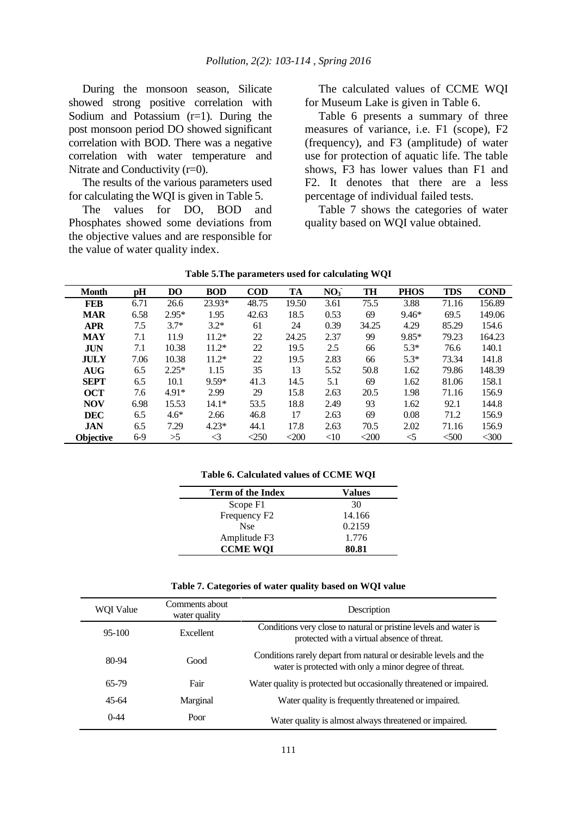During the monsoon season, Silicate showed strong positive correlation with Sodium and Potassium  $(r=1)$ . During the post monsoon period DO showed significant correlation with BOD. There was a negative correlation with water temperature and Nitrate and Conductivity (r=0).

The results of the various parameters used for calculating the WQI is given in Table 5.

The values for DO, BOD and Phosphates showed some deviations from the objective values and are responsible for the value of water quality index.

The calculated values of CCME WQI for Museum Lake is given in Table 6.

Table 6 presents a summary of three measures of variance, i.e. F1 (scope), F2 (frequency), and F3 (amplitude) of water use for protection of aquatic life. The table shows, F3 has lower values than F1 and F2. It denotes that there are a less percentage of individual failed tests.

Table 7 shows the categories of water quality based on WQI value obtained.

| <b>Month</b>     | pH    | D <sub>O</sub> | <b>BOD</b>      | <b>COD</b> | TA    | NO <sub>3</sub> | <b>TH</b> | <b>PHOS</b> | <b>TDS</b> | <b>COND</b> |
|------------------|-------|----------------|-----------------|------------|-------|-----------------|-----------|-------------|------------|-------------|
| <b>FEB</b>       | 6.71  | 26.6           | 23.93*          | 48.75      | 19.50 | 3.61            | 75.5      | 3.88        | 71.16      | 156.89      |
| <b>MAR</b>       | 6.58  | $2.95*$        | 1.95            | 42.63      | 18.5  | 0.53            | 69        | $9.46*$     | 69.5       | 149.06      |
| <b>APR</b>       | 7.5   | $3.7*$         | $3.2*$          | 61         | 24    | 0.39            | 34.25     | 4.29        | 85.29      | 154.6       |
| <b>MAY</b>       | 7.1   | 11.9           | $11.2*$         | 22         | 24.25 | 2.37            | 99        | $9.85*$     | 79.23      | 164.23      |
| <b>JUN</b>       | 7.1   | 10.38          | $11.2*$         | 22         | 19.5  | 2.5             | 66        | $5.3*$      | 76.6       | 140.1       |
| JULY             | 7.06  | 10.38          | $11.2*$         | 22         | 19.5  | 2.83            | 66        | $5.3*$      | 73.34      | 141.8       |
| <b>AUG</b>       | 6.5   | $2.25*$        | 1.15            | 35         | 13    | 5.52            | 50.8      | 1.62        | 79.86      | 148.39      |
| <b>SEPT</b>      | 6.5   | 10.1           | $9.59*$         | 41.3       | 14.5  | 5.1             | 69        | 1.62        | 81.06      | 158.1       |
| <b>OCT</b>       | 7.6   | $4.91*$        | 2.99            | 29         | 15.8  | 2.63            | 20.5      | 1.98        | 71.16      | 156.9       |
| <b>NOV</b>       | 6.98  | 15.53          | $14.1*$         | 53.5       | 18.8  | 2.49            | 93        | 1.62        | 92.1       | 144.8       |
| <b>DEC</b>       | 6.5   | $4.6*$         | 2.66            | 46.8       | 17    | 2.63            | 69        | 0.08        | 71.2       | 156.9       |
| <b>JAN</b>       | 6.5   | 7.29           | $4.23*$         | 44.1       | 17.8  | 2.63            | 70.5      | 2.02        | 71.16      | 156.9       |
| <b>Objective</b> | $6-9$ | >5             | $\triangleleft$ | $<$ 250    | $200$ | <10             | $200$     | $<$ 5       | < 500      | $<$ 300     |

| Table 5. The parameters used for calculating WQI |  |  |  |
|--------------------------------------------------|--|--|--|
|--------------------------------------------------|--|--|--|

**Table 6. Calculated values of CCME WQI**

| Term of the Index        | Values |
|--------------------------|--------|
| Scope F1                 | 30     |
| Frequency F <sub>2</sub> | 14.166 |
| <b>Nse</b>               | 0.2159 |
| Amplitude F3             | 1.776  |
| <b>CCME WOI</b>          | 80.81  |

|  |  | Table 7. Categories of water quality based on WQI value |  |  |  |  |  |  |
|--|--|---------------------------------------------------------|--|--|--|--|--|--|
|--|--|---------------------------------------------------------|--|--|--|--|--|--|

| WOI Value | Comments about<br>water quality | Description                                                                                                                 |
|-----------|---------------------------------|-----------------------------------------------------------------------------------------------------------------------------|
| 95-100    | Excellent                       | Conditions very close to natural or pristine levels and water is<br>protected with a virtual absence of threat.             |
| 80-94     | Good                            | Conditions rarely depart from natural or desirable levels and the<br>water is protected with only a minor degree of threat. |
| 65-79     | Fair                            | Water quality is protected but occasionally threatened or impaired.                                                         |
| $45-64$   | Marginal                        | Water quality is frequently threatened or impaired.                                                                         |
| $0-44$    | Poor                            | Water quality is almost always threatened or impaired.                                                                      |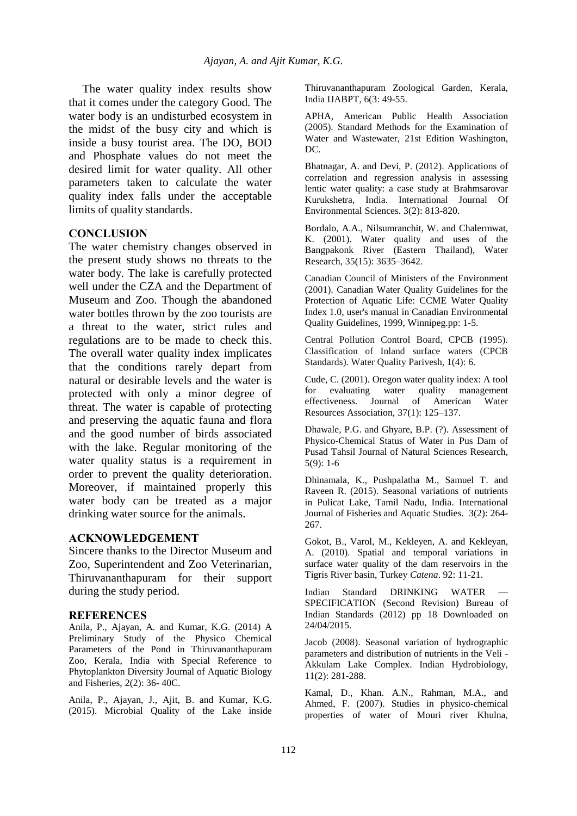The water quality index results show that it comes under the category Good. The water body is an undisturbed ecosystem in the midst of the busy city and which is inside a busy tourist area. The DO, BOD and Phosphate values do not meet the desired limit for water quality. All other parameters taken to calculate the water quality index falls under the acceptable limits of quality standards.

### **CONCLUSION**

The water chemistry changes observed in the present study shows no threats to the water body. The lake is carefully protected well under the CZA and the Department of Museum and Zoo. Though the abandoned water bottles thrown by the zoo tourists are a threat to the water, strict rules and regulations are to be made to check this. The overall water quality index implicates that the conditions rarely depart from natural or desirable levels and the water is protected with only a minor degree of threat. The water is capable of protecting and preserving the aquatic fauna and flora and the good number of birds associated with the lake. Regular monitoring of the water quality status is a requirement in order to prevent the quality deterioration. Moreover, if maintained properly this water body can be treated as a major drinking water source for the animals.

### **ACKNOWLEDGEMENT**

Sincere thanks to the Director Museum and Zoo, Superintendent and Zoo Veterinarian, Thiruvananthapuram for their support during the study period.

#### **REFERENCES**

Anila, P., Ajayan, A. and Kumar, K.G. (2014) A Preliminary Study of the Physico Chemical Parameters of the Pond in Thiruvananthapuram Zoo, Kerala, India with Special Reference to Phytoplankton Diversity Journal of Aquatic Biology and Fisheries, 2(2): 36- 40C.

Anila, P., Ajayan, J., Ajit, B. and Kumar, K.G. (2015). Microbial Quality of the Lake inside Thiruvananthapuram Zoological Garden, Kerala, India IJABPT, 6(3: 49-55.

APHA, American Public Health Association (2005). Standard Methods for the Examination of Water and Wastewater, 21st Edition Washington, DC.

Bhatnagar, A. and Devi, P. (2012). Applications of correlation and regression analysis in assessing lentic water quality: a case study at Brahmsarovar Kurukshetra, India. International Journal Of Environmental Sciences. 3(2): 813-820.

Bordalo, A.A., Nilsumranchit, W. and Chalermwat, K. (2001). Water quality and uses of the Bangpakonk River (Eastern Thailand), Water Research, 35(15): 3635–3642.

Canadian Council of Ministers of the Environment (2001). Canadian Water Quality Guidelines for the Protection of Aquatic Life: CCME Water Quality Index 1.0, user's manual in Canadian Environmental Quality Guidelines, 1999, Winnipeg.pp: 1-5.

Central Pollution Control Board, CPCB (1995). Classification of Inland surface waters (CPCB Standards). Water Quality Parivesh, 1(4): 6.

Cude, C. (2001). Oregon water quality index: A tool for evaluating water quality management effectiveness. Journal of American Water Resources Association, 37(1): 125–137.

Dhawale, P.G. and Ghyare, B.P. (?). Assessment of Physico-Chemical Status of Water in Pus Dam of Pusad Tahsil Journal of Natural Sciences Research, 5(9): 1-6

Dhinamala, K., Pushpalatha M., Samuel T. and Raveen R. (2015). Seasonal variations of nutrients in Pulicat Lake, Tamil Nadu, India. International Journal of Fisheries and Aquatic Studies. 3(2): 264- 267.

Gokot, B., Varol, M., Kekleyen, A. and Kekleyan, A. (2010). Spatial and temporal variations in surface water quality of the dam reservoirs in the Tigris River basin, Turkey *Catena*. 92: 11-21.

Indian Standard DRINKING WATER SPECIFICATION (Second Revision) Bureau of Indian Standards (2012) pp 18 Downloaded on 24/04/2015.

Jacob (2008). Seasonal variation of hydrographic parameters and distribution of nutrients in the Veli - Akkulam Lake Complex. Indian Hydrobiology, 11(2): 281-288.

Kamal, D., Khan. A.N., Rahman, M.A., and Ahmed, F. (2007). Studies in physico-chemical properties of water of Mouri river Khulna,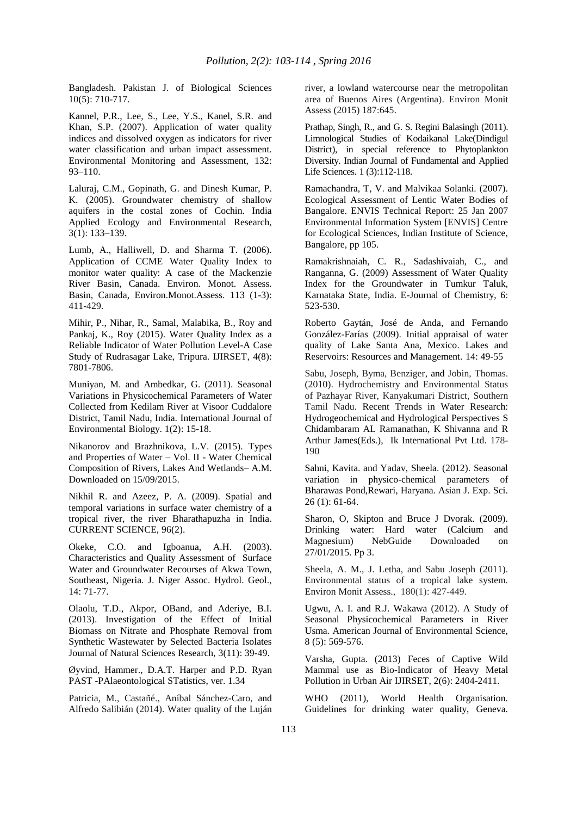Bangladesh. Pakistan J. of Biological Sciences 10(5): 710-717.

Kannel, P.R., Lee, S., Lee, Y.S., Kanel, S.R. and Khan, S.P. (2007). Application of water quality indices and dissolved oxygen as indicators for river water classification and urban impact assessment. Environmental Monitoring and Assessment, 132: 93–110.

Laluraj, C.M., Gopinath, G. and Dinesh Kumar, P. K. (2005). Groundwater chemistry of shallow aquifers in the costal zones of Cochin. India Applied Ecology and Environmental Research, 3(1): 133–139.

Lumb, A., Halliwell, D. and Sharma T. (2006). Application of CCME Water Quality Index to monitor water quality: A case of the Mackenzie River Basin, Canada. Environ. Monot. Assess. Basin, Canada, Environ.Monot.Assess. 113 (1-3): 411-429.

Mihir, P., Nihar, R., Samal, Malabika, B., Roy and Pankaj, K., Roy (2015). Water Quality Index as a Reliable Indicator of Water Pollution Level-A Case Study of Rudrasagar Lake, Tripura. IJIRSET, 4(8): 7801-7806.

Muniyan, M. and Ambedkar, G. (2011). Seasonal Variations in Physicochemical Parameters of Water Collected from Kedilam River at Visoor Cuddalore District, Tamil Nadu, India. International Journal of Environmental Biology. 1(2): 15-18.

Nikanorov and Brazhnikova, L.V. (2015). Types and Properties of Water – Vol. II - Water Chemical Composition of Rivers, Lakes And Wetlands– A.M. Downloaded on 15/09/2015.

Nikhil R. and Azeez, P. A. (2009). Spatial and temporal variations in surface water chemistry of a tropical river, the river Bharathapuzha in India. CURRENT SCIENCE, 96(2).

Okeke, C.O. and Igboanua, A.H. (2003). Characteristics and Quality Assessment of Surface Water and Groundwater Recourses of Akwa Town, Southeast, Nigeria. J. Niger Assoc. Hydrol. Geol., 14: 71-77.

Olaolu, T.D., Akpor, OBand, and Aderiye, B.I. (2013). Investigation of the Effect of Initial Biomass on Nitrate and Phosphate Removal from Synthetic Wastewater by Selected Bacteria Isolates Journal of Natural Sciences Research, 3(11): 39-49.

Øyvind, Hammer., D.A.T. Harper and P.D. Ryan PAST -PAlaeontological STatistics, ver. 1.34

Patricia, M., Castañé., Aníbal Sánchez-Caro, and Alfredo Salibián (2014). Water quality of the Luján river, a lowland watercourse near the metropolitan area of Buenos Aires (Argentina). Environ Monit Assess (2015) 187:645.

Prathap, Singh, R., and G. S. Regini Balasingh (2011). Limnological Studies of Kodaikanal Lake(Dindigul District), in special reference to Phytoplankton Diversity. Indian Journal of Fundamental and Applied Life Sciences. 1 (3):112-118.

Ramachandra, T, V. and Malvikaa Solanki. (2007). Ecological Assessment of Lentic Water Bodies of Bangalore. ENVIS Technical Report: 25 Jan 2007 Environmental Information System [ENVIS] Centre for Ecological Sciences, Indian Institute of Science, Bangalore, pp 105.

Ramakrishnaiah, C. R., Sadashivaiah, C., and Ranganna, G. (2009) Assessment of Water Quality Index for the Groundwater in Tumkur Taluk, Karnataka State, India. E-Journal of Chemistry, 6: 523-530.

Roberto Gaytán, José de Anda, and Fernando González-Farías (2009). Initial appraisal of water quality of Lake Santa Ana, Mexico. Lakes and Reservoirs: Resources and Management. 14: 49-55

Sabu, Joseph, Byma, Benziger, and Jobin, Thomas. (2010). Hydrochemistry and Environmental Status of Pazhayar River, Kanyakumari District, Southern Tamil Nadu. Recent Trends in Water Research: Hydrogeochemical and Hydrological Perspectives S Chidambaram AL Ramanathan, K Shivanna and R Arthur James(Eds.), Ik International Pvt Ltd. 178- 190

Sahni, Kavita. and Yadav, Sheela. (2012). Seasonal variation in physico-chemical parameters of Bharawas Pond,Rewari, Haryana. Asian J. Exp. Sci. 26 (1): 61-64.

Sharon, O, Skipton and Bruce J Dvorak. (2009). Drinking water: Hard water (Calcium and Magnesium) NebGuide Downloaded on 27/01/2015. Pp 3.

Sheela, A. M., J. Letha, and Sabu Joseph (2011). Environmental status of a tropical lake system. Environ Monit Assess., 180(1): 427-449.

Ugwu, A. I. and R.J. Wakawa (2012). A Study of Seasonal Physicochemical Parameters in River Usma. American Journal of Environmental Science, 8 (5): 569-576.

Varsha, Gupta. (2013) Feces of Captive Wild Mammal use as Bio-Indicator of Heavy Metal Pollution in Urban Air IJIRSET, 2(6): 2404-2411.

WHO (2011), World Health Organisation. Guidelines for drinking water quality, Geneva.